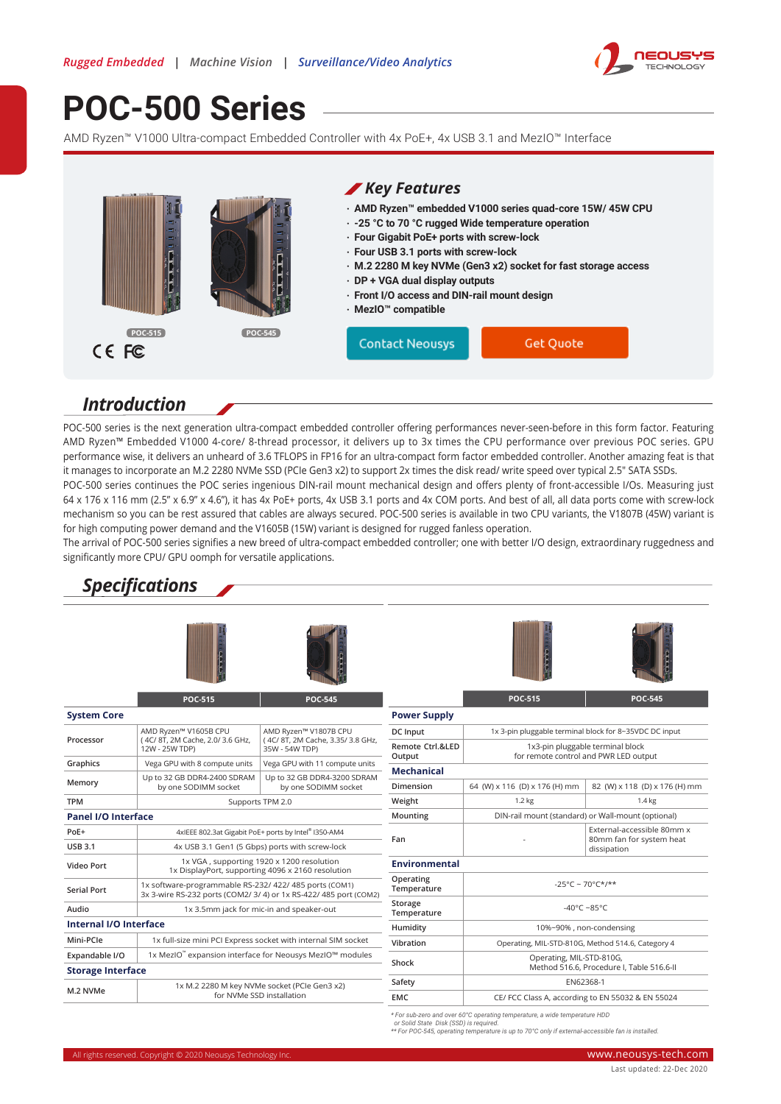

# **[POC-500 Series](https://www.neousys-tech.com/product/application/rugged-embedded/poc-500-amd-ryzen-ultra-compact-embedded-computer?utm_source=datasheet&utm_medium=web&utm_campaign=POC-500)**

AMD Ryzen™ V1000 Ultra-compact Embedded Controller with 4x PoE+, 4x USB 3.1 and MezIO™ Interface



#### *Introduction*

POC-500 series is the next generation ultra-compact embedded controller offering performances never-seen-before in this form factor. Featuring AMD Ryzen™ Embedded V1000 4-core/ 8-thread processor, it delivers up to 3x times the CPU performance over previous POC series. GPU performance wise, it delivers an unheard of 3.6 TFLOPS in FP16 for an ultra-compact form factor embedded controller. Another amazing feat is that it manages to incorporate an M.2 2280 NVMe SSD (PCIe Gen3 x2) to support 2x times the disk read/ write speed over typical 2.5" SATA SSDs.

POC-500 series continues the POC series ingenious DIN-rail mount mechanical design and offers plenty of front-accessible I/Os. Measuring just 64 x 176 x 116 mm (2.5" x 6.9" x 4.6"), it has 4x PoE+ ports, 4x USB 3.1 ports and 4x COM ports. And best of all, all data ports come with screw-lock mechanism so you can be rest assured that cables are always secured. POC-500 series is available in two CPU variants, the V1807B (45W) variant is for high computing power demand and the V1605B (15W) variant is designed for rugged fanless operation.

The arrival of POC-500 series signifies a new breed of ultra-compact embedded controller; one with better I/O design, extraordinary ruggedness and significantly more CPU/ GPU oomph for versatile applications.

## *Specifications*







|                            | <b>POC-515</b>                                                                                                              | <b>POC-545</b>                                       |                            | <b>POC-515</b>                                                            | <b>POC-545</b>                            |
|----------------------------|-----------------------------------------------------------------------------------------------------------------------------|------------------------------------------------------|----------------------------|---------------------------------------------------------------------------|-------------------------------------------|
| <b>System Core</b>         |                                                                                                                             |                                                      | <b>Power Supply</b>        |                                                                           |                                           |
|                            | AMD Ryzen™ V1605B CPU                                                                                                       | AMD Rvzen™ V1807B CPU                                | DC Input                   | 1x 3-pin pluggable terminal block for 8~35VDC DC input                    |                                           |
| Processor                  | (4C/8T, 2M Cache, 2.0/3.6 GHz,<br>12W - 25W TDP)                                                                            | (4C/8T, 2M Cache, 3.35/3.8 GHz,<br>35W - 54W TDP)    | Remote Ctrl.&LED<br>Output | 1x3-pin pluggable terminal block<br>for remote control and PWR LED output |                                           |
| Graphics                   | Vega GPU with 8 compute units                                                                                               | Vega GPU with 11 compute units                       | <b>Mechanical</b>          |                                                                           |                                           |
| Memory                     | Up to 32 GB DDR4-2400 SDRAM<br>by one SODIMM socket                                                                         | Up to 32 GB DDR4-3200 SDRAM<br>by one SODIMM socket  | Dimension                  | 64 (W) x 116 (D) x 176 (H) mm                                             | 82 (W) x 118 (D) x 176 (H) mm             |
| <b>TPM</b>                 |                                                                                                                             | Supports TPM 2.0                                     | Weight                     | 1.4 <sub>kg</sub><br>1.2 kg                                               |                                           |
| <b>Panel I/O Interface</b> |                                                                                                                             |                                                      | Mounting                   | DIN-rail mount (standard) or Wall-mount (optional)                        |                                           |
| PoE+                       |                                                                                                                             | 4xIEEE 802.3at Gigabit PoE+ ports by Intel® I350-AM4 |                            |                                                                           | External-accessible 80mm x                |
| <b>USB 3.1</b>             |                                                                                                                             | 4x USB 3.1 Gen1 (5 Gbps) ports with screw-lock       | Fan                        |                                                                           | 80mm fan for system heat<br>dissipation   |
| Video Port                 | 1x VGA, supporting 1920 x 1200 resolution<br>1x DisplayPort, supporting 4096 x 2160 resolution                              |                                                      | Environmental              |                                                                           |                                           |
| <b>Serial Port</b>         | 1x software-programmable RS-232/ 422/ 485 ports (COM1)<br>3x 3-wire RS-232 ports (COM2/ 3/ 4) or 1x RS-422/ 485 port (COM2) |                                                      | Operating<br>Temperature   | $-25^{\circ}$ C ~ 70°C*/**                                                |                                           |
| Audio                      | 1x 3.5mm jack for mic-in and speaker-out                                                                                    |                                                      | Storage<br>Temperature     | $-40^{\circ}$ C $-85^{\circ}$ C                                           |                                           |
| Internal I/O Interface     |                                                                                                                             |                                                      | Humidity                   | 10%~90%, non-condensing                                                   |                                           |
| Mini-PCle                  | 1x full-size mini PCI Express socket with internal SIM socket                                                               |                                                      | Vibration                  | Operating, MIL-STD-810G, Method 514.6, Category 4                         |                                           |
| Expandable I/O             | 1x MezIO™ expansion interface for Neousys MezIO™ modules                                                                    |                                                      |                            | Operating, MIL-STD-810G,                                                  |                                           |
| <b>Storage Interface</b>   |                                                                                                                             |                                                      | Shock                      |                                                                           | Method 516.6, Procedure I, Table 516.6-II |
| M.2 NVMe                   |                                                                                                                             | 1x M.2 2280 M key NVMe socket (PCIe Gen3 x2)         | Safety                     | EN62368-1                                                                 |                                           |
|                            |                                                                                                                             | for NVMe SSD installation                            | <b>EMC</b>                 | CE/ FCC Class A, according to EN 55032 & EN 55024                         |                                           |

\* For sub-zero and over 60°C operating temperature, a wide temperature HDD<br>or Solid State Disk (SSD) is required.<br>\*\* For POC-545, operating temperature is up to 70°C only if external-accessible fan is installed.